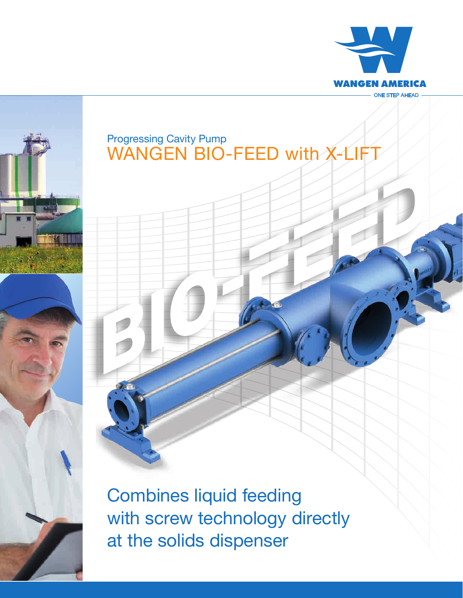



## WANGEN BIO-FEED with X-LIFT Progressing Cavity Pump

Combines liquid feeding with screw technology directly at the solids dispenser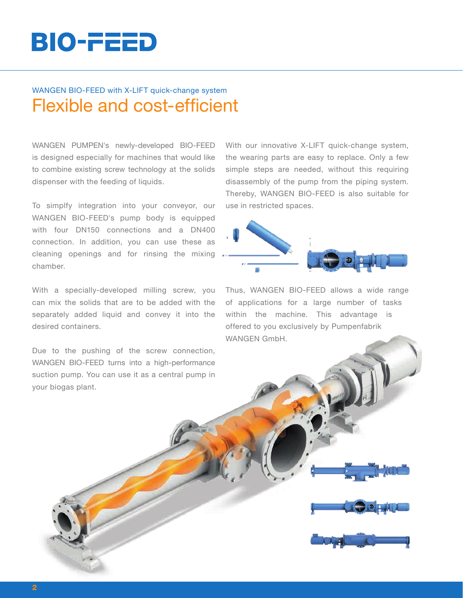# BIO-FEED

### Flexible and cost-efficient WANGEN BIO-FEED with X-LIFT quick-change system

WANGEN PUMPEN's newly-developed BIO-FEED is designed especially for machines that would like to combine existing screw technology at the solids dispenser with the feeding of liquids.

To simplfy integration into your conveyor, our WANGEN BIO-FEED's pump body is equipped with four DN150 connections and a DN400 connection. In addition, you can use these as cleaning openings and for rinsing the mixing chamber.

With a specially-developed milling screw, you can mix the solids that are to be added with the separately added liquid and convey it into the desired containers.

Due to the pushing of the screw connection, WANGEN BIO-FEED turns into a high-performance suction pump. You can use it as a central pump in your biogas plant.

With our innovative X-LIFT quick-change system, the wearing parts are easy to replace. Only a few simple steps are needed, without this requiring disassembly of the pump from the piping system. Thereby, WANGEN BIO-FEED is also suitable for use in restricted spaces.



Thus, WANGEN BIO-FEED allows a wide range of applications for a large number of tasks within the machine. This advantage is offered to you exclusively by Pumpenfabrik WANGEN GmbH.



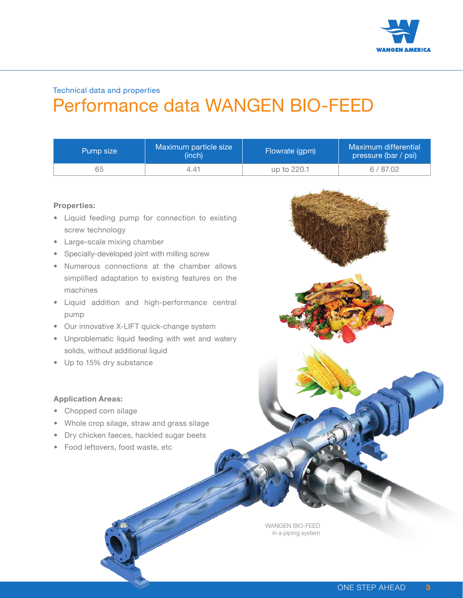

## Performance data WANGEN BIO-FEED Technical data and properties

| Pump size | Maximum particle size<br>(inch) | Flowrate (gpm) | Maximum differential<br>pressure (bar / psi) |
|-----------|---------------------------------|----------------|----------------------------------------------|
| 65        | 4.47                            | up to 220.1    | 6/87.02                                      |

#### **Properties:**

- Liquid feeding pump for connection to existing screw technology
- Large-scale mixing chamber
- Specially-developed joint with milling screw
- Numerous connections at the chamber allows simplified adaptation to existing features on the machines
- Liquid addition and high-performance central pump
- Our innovative X-LIFT quick-change system
- Unproblematic liquid feeding with wet and watery solids, without additional liquid
- Up to 15% dry substance

#### **Application Areas:**

- Chopped corn silage
- Whole crop silage, straw and grass silage
- Dry chicken faeces, hackled sugar beets
- Food leftovers, food waste, etc

WANGEN BIO-FEED in a piping system